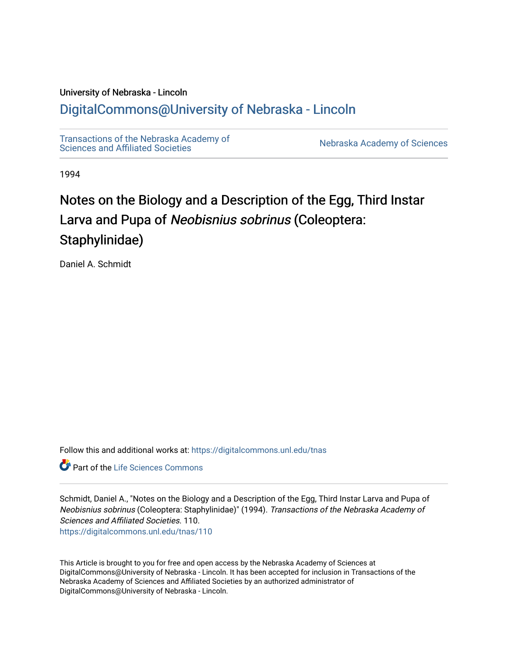## University of Nebraska - Lincoln [DigitalCommons@University of Nebraska - Lincoln](https://digitalcommons.unl.edu/)

[Transactions of the Nebraska Academy of](https://digitalcommons.unl.edu/tnas)  Transactions of the Nebraska Academy of Sciences<br>Sciences and Affiliated Societies

1994

# Notes on the Biology and a Description of the Egg, Third Instar Larva and Pupa of Neobisnius sobrinus (Coleoptera: Staphylinidae)

Daniel A. Schmidt

Follow this and additional works at: [https://digitalcommons.unl.edu/tnas](https://digitalcommons.unl.edu/tnas?utm_source=digitalcommons.unl.edu%2Ftnas%2F110&utm_medium=PDF&utm_campaign=PDFCoverPages) 

**C** Part of the Life Sciences Commons

Schmidt, Daniel A., "Notes on the Biology and a Description of the Egg, Third Instar Larva and Pupa of Neobisnius sobrinus (Coleoptera: Staphylinidae)" (1994). Transactions of the Nebraska Academy of Sciences and Affiliated Societies. 110. [https://digitalcommons.unl.edu/tnas/110](https://digitalcommons.unl.edu/tnas/110?utm_source=digitalcommons.unl.edu%2Ftnas%2F110&utm_medium=PDF&utm_campaign=PDFCoverPages) 

This Article is brought to you for free and open access by the Nebraska Academy of Sciences at DigitalCommons@University of Nebraska - Lincoln. It has been accepted for inclusion in Transactions of the Nebraska Academy of Sciences and Affiliated Societies by an authorized administrator of DigitalCommons@University of Nebraska - Lincoln.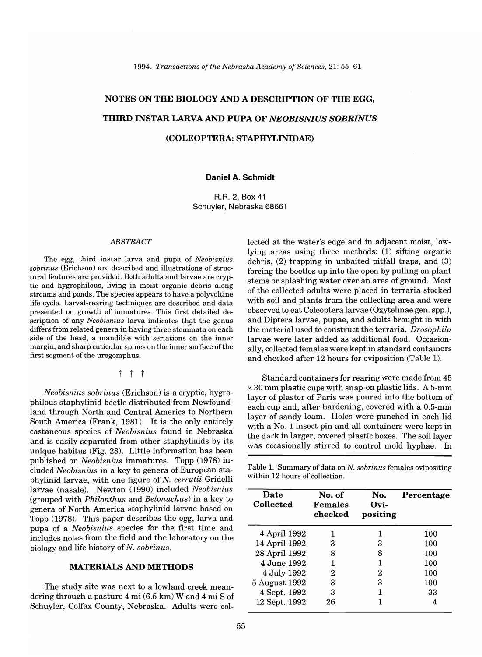## NOTES ON THE BIOLOGY AND A DESCRIPTION OF THE EGG, THIRD INSTAR LARVA AND PUPA OF *NEOBISNIUS SOBRINUS*  (COLEOPTERA: STAPHYLINIDAE)

## Daniel A. Schmidt

R.R. 2, Box 41 Schuyler, Nebraska 68661

#### *ABSTRACT*

The egg, third instar larva and pupa of *Neobisnius sobrinus* (Erichson) are described and illustrations of structural features are provided. Both adults and larvae are cryptic and hygrophilous, living in moist organic debris along streams and ponds. The species appears to have a polyvoltine life cycle. Larval-rearing techniques are described and data presented on growth of immatures. This first detailed description of any *Neobisnius* larva indicates that the genus differs from related genera in having three stemmata on each side of the head, a mandible with seriations on the inner margin, and sharp cuticular spines on the inner surface of the first segment of the urogomphus.

t t t

*Neobisnius sobrinus* (Erichson) is a cryptic, hygrophilous staphylinid beetle distributed from Newfoundland through North and Central America to Northern South America (Frank, 1981). It is the only entirely castaneous species of *Neobisnius* found in Nebraska and is easily separated from other staphylinids by its unique habitus (Fig. 28). Little information has been published on *Neobisnius* immatures. Topp (1978) included *Neobisnius* in a key to genera of European staphylinid larvae, with one figure of N. *cerrutii* Gridelli larvae (nasale). Newton (1990) included *Neobisnius*  (grouped with *Philonthus* and *Belonuchus)* in a key to genera of North America staphylinid larvae based on Topp (1978). This paper describes the egg, larva and pupa of a *Neobisnius* species for the first time and includes notes from the field and the laboratory on the biology and life history of N. *sobrinus.* 

## MATERIALS AND METHODS

The study site was next to a lowland creek meandering through a pasture 4 mi (6.5 km) Wand 4 mi S of Schuyler, Colfax County, Nebraska. Adults were collected at the water's edge and in adjacent moist, lowlying areas using three methods: (1) sifting organic debris, (2) trapping in unbaited pitfall traps, and (3) forcing the beetles up into the open by pulling on plant stems or splashing water over an area of ground. Most of the collected adults were placed in terraria stocked with soil and plants from the collecting area and were observed to eat Coleoptera larvae (Oxytelinae gen. spp.), and Diptera larvae, pupae, and adults brought in with the material used to construct the terraria. *Drosophila*  larvae were later added as additional food. Occasionally, collected females were kept in standard containers and checked after 12 hours for oviposition (Table 1).

Standard containers for rearing were made from 45  $\times$  30 mm plastic cups with snap-on plastic lids. A 5-mm layer of plaster of Paris was poured into the bottom of each cup and, after hardening, covered with a 0.5-mm layer of sandy loam. Holes were punched in each lid with a No. 1 insect pin and all containers were kept in the dark in larger, covered plastic boxes. The soil layer was occasionally stirred to control mold hyphae. In

Table 1. Summary of data on N. *sobrinus* females ovipositing within 12 hours of collection.

| Date<br>Collected | No. of<br>Females<br>checked | No.<br>Ovi-<br>positing | Percentage |
|-------------------|------------------------------|-------------------------|------------|
| 4 April 1992      |                              | 1                       | 100        |
| 14 April 1992     | З                            | 3                       | 100        |
| 28 April 1992     | 8                            | 8                       | 100        |
| 4 June 1992       | 1                            | 1                       | 100        |
| 4 July 1992       | 2                            | 2                       | 100        |
| 5 August 1992     | 3                            | 3                       | 100        |
| 4 Sept. 1992      | 3                            |                         | 33         |
| 12 Sept. 1992     | 26                           |                         | 4          |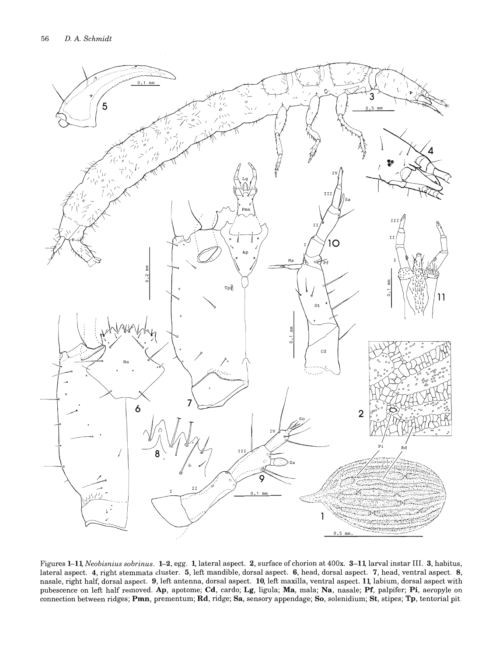

Figures 1-11, *Neobisnius sobrinus.* 1-2, egg. 1, lateral aspect. 2, surface of chorion at 400x. 3-11, larval instar III. 3, habitus, lateral aspect. 4, right stemmata cluster. 5, left mandible, dorsal aspect. 6, head, dorsal aspect. 7, head, ventral aspect. 8, nasale, right half, dorsal aspect. 9, left antenna, dorsal aspect. 10, left maxilla, ventral aspect. **11,** labium, dorsal aspect with pubescence on left half removed. Ap, apotome; Cd, cardo; Lg, ligula; Ma, mala; Na, nasale; Pf, palpifer; Pi, aeropyle on connection between ridges; Pmn, prementum; Rd, ridge; Sa, sensory appendage; So, solenidium; St, stipes; Tp, tentorial pit,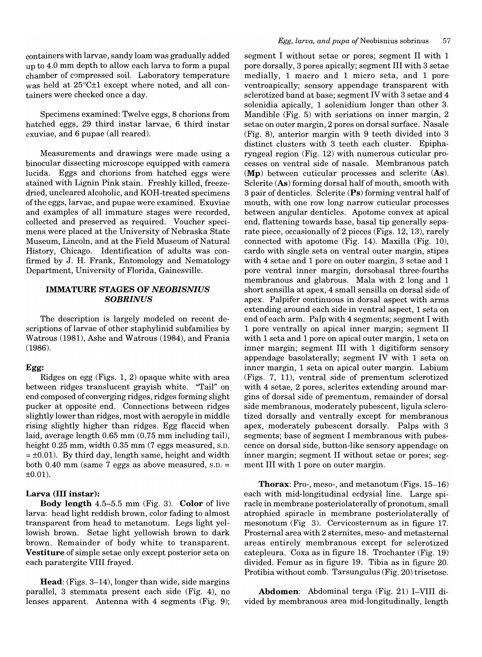containers with larvae, sandy loam was gradually added up to 4.0 mm depth to allow each larva to form a pupal chamber of compressed soil. Laboratory temperature was held at 25°C±1 except where noted, and all containers were checked once a day.

Specimens examined: Twelve eggs, 8 chorions from hatched eggs, 29 third instar larvae, 6 third instar exuviae, and 6 pupae (all reared).

Measurements and drawings were made using a binocular dissecting microscope equipped with camera lucida. Eggs and chorions from hatched eggs were stained with Lignin Pink stain. Freshly killed, freezedried, uncleared alcoholic, and KOH-treated specimens ofthe eggs, larvae, and pupae were examined. Exuviae and examples of all immature stages were recorded, collected and preserved as required. Voucher specimens were placed at the University of Nebraska State Museum, Lincoln, and at the Field Museum of Natural History, Chicago. Identification of adults was confirmed by J. H. Frank, Entomology and Nematology Department, University of Florida, Gainesville.

## IMMATURE STAGES OF *NEOBISNIUS SOBRINUS*

The description is largely modeled on recent descriptions of larvae of other staphylinid subfamilies by Watrous (1981), Ashe and Watrous (1984), and Frania (1986).

## Egg:

Ridges on egg (Figs. 1, 2) opaque white with area between ridges translucent grayish white. "Tail" on end composed of converging ridges, ridges forming slight pucker at opposite end. Connections between ridges slightly lower than ridges, most with aeropyle in middle rising slightly higher than ridges. Egg flaccid when laid, average length 0.65 mm (0.75 mm including tail), height 0.25 mm, width 0.35 mm (7 eggs measured, S.D.  $= \pm 0.01$ ). By third day, length same, height and width both 0.40 mm (same 7 eggs as above measured, S.D. =  $±0.01$ ).

## Larva (III instar):

Body length 4.5-5.5 mm (Fig. 3). Color of live larva: head light reddish brown, color fading to almost transparent from head to metanotum. Legs light yellowish brown. Setae light yellowish brown to dark brown. Remainder of body white to transparent. Vestiture of simple setae only except posterior seta on each paratergite VIII frayed.

Head: (Figs. 3-14), longer than wide, side margins parallel, 3 stemmata present each side (Fig. 4), no lenses apparent. Antenna with 4 segments (Fig. 9);

segment I without setae or pores; segment II with 1 pore dorsally, 3 pores apically; segment III with 3 setae medially, 1 macro and 1 micro seta, and 1 pore ventroapically; sensory appendage transparent with sclerotized band at base; segment IV with 3 setae and 4 solenidia apically, 1 solenidium longer than other 3. Mandible (Fig. 5) with seriations on inner margin, 2 setae on outer margin, 2 pores on dorsal surface. Nasale (Fig. 8), anterior margin with 9 teeth divided into 3 distinct clusters with 3 teeth each cluster. Epipharyngeal region (Fig. 12) with numerous cuticular processes on ventral side of nasale. Membranous patch (Mp) between cuticular processes and sclerite (As). Sclerite (As) forming dorsal half of mouth, smooth with 3 pair of denticles. Sclerite (Ps) forming ventral half of mouth, with one row long narrow cuticular processes between angular denticles. Apotome convex at apical end, flattening towards base, basal tip generally separate piece, occasionally of 2 pieces (Figs. 12, 13), rarely connected with apotome (Fig. 14). Maxilla (Fig. 10), cardo with single seta on ventral outer margin, stipes with 4 setae and 1 pore on outer margin, 3 setae and 1 pore ventral inner margin, dorsobasal three-fourths membranous and glabrous. Mala with 2 long and 1 short sensilla at apex, 4 small sensilla on dorsal side of apex. Palpifer continuous in dorsal aspect with arms extending around each side in ventral aspect, 1 seta on end of each arm. Palp with 4 segments; segment I with 1 pore ventrally on apical inner margin; segment II with 1 seta and 1 pore on apical outer margin, 1 seta on inner margin; segment III with 1 digitiform sensory appendage basolaterally; segment IV with 1 seta on inner margin, 1 seta on apical outer margin. Labium (Figs. 7, 11), ventral side of prementum sclerotized with 4 setae, 2 pores, sclerites extending around margins of dorsal side of prementum, remainder of dorsal side membranous, moderately pubescent, ligula sclerotized dorsally and ventrally except for membranous apex, moderately pubescent dorsally. Palps with 3 segments; base of segment I membranous with pubescence on dorsal side, button-like sensory appendage on inner margin; segment II without setae or pores; segment III with 1 pore on outer margin.

Thorax: Pro-, meso-, and metanotum (Figs. 15-16) each with mid-longitudinal ecdysial line. Large spiracle in membrane posteriolaterally of pronotum, small atrophied spiracle in membrane posteriolaterally of mesonotum (Fig 3). Cervicosternum as in figure 17. Prostemal area with 2 sternites, meso- and metasternal areas entirely membranous except for sclerotized catepleura. Coxa as in figure 18. Trochanter (Fig. 19) divided. Femur as in figure 19. Tibia as in figure 20. Protibia without comb. Tarsungulus (Fig. 20) trisetose.

Abdomen: Abdominal terga (Fig. 21) I-VIII divided by membranous area mid-longitudinally, length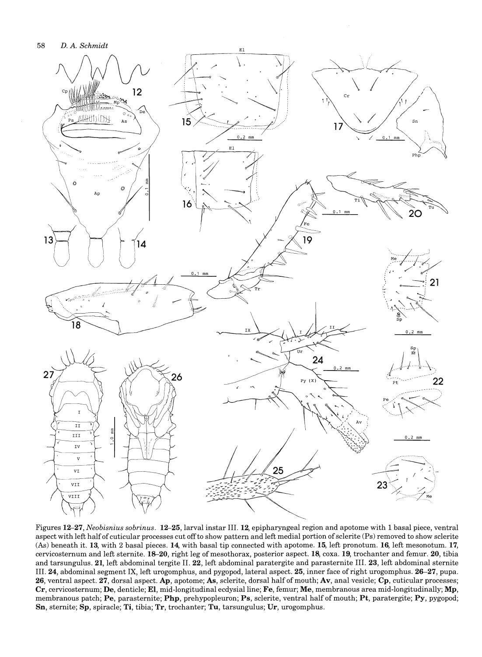

Figures 12-27, *Neobisnius sobrinus.* 12-25, larval instar III. 12, epipharyngeal region and apotome with 1 basal piece, ventral aspect with left half of cuticular processes cut off to show pattern and left medial portion of sclerite (Ps) removed to show sclerite (As) beneath it. 13, with 2 basal pieces. 14, with basal tip connected with apotome. 15, left pronotum. 16, left mesonotum. 17, cervicosternum and left sternite. 18-20, right leg of mesothorax, posterior aspect. 18, coxa. 19, trochanter and femur. 20, tibia and tarsungulus. 21, left abdominal tergite II. 22, left abdominal paratergite and parasternite III. 23, left abdominal sternite III. 24, abdominal segment IX, left urogomphus, and pygopod, lateral aspect. 25, inner face of right urogomphus. 26-27, pupa. 26, ventral aspect. 27, dorsal aspect. Ap, apotome; As, sclerite, dorsal half of mouth; Av, anal vesicle; Cp, cuticular processes; Cr, cervicosternum; De, denticle; EI, mid-longitudinal ecdysial line; Fe, femur; Me, membranous area mid-longitudinally; Mp, membranous patch; Pe, parasternite; Php, prehypopleuron; Ps, sclerite, ventral half of mouth; Pt, paratergite; Py, pygopod; Sn, sternite; Sp, spiracle; Ti, tibia; Tr, trochanter; Tu, tarsungulus; Dr, urogomphus.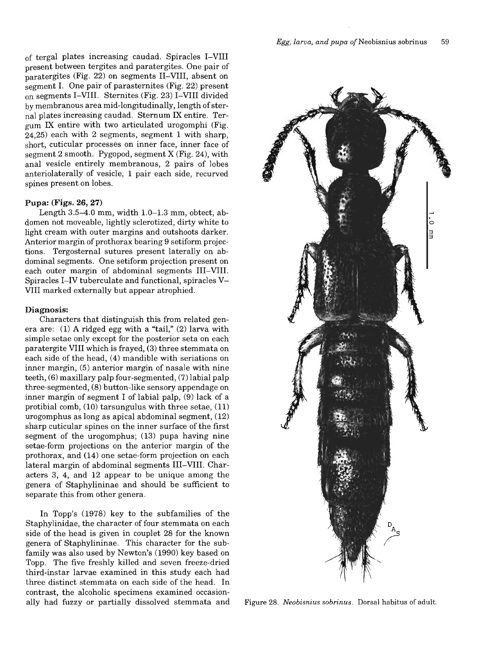of tergal plates increasing caudad. Spiracles I-VIII present between tergites and paratergites. One pair of paratergites (Fig. 22) on segments II-VIII, absent on segment I. One pair of parasternites (Fig. 22) present on segments I-VIII. Sternites (Fig. 23) I-VIII divided by membranous area mid-longitudinally, length of sternal plates increasing caudad. Sternum IX entire. Tergum IX entire with two articulated urogomphi (Fig. 24,25) each with 2 segments, segment 1 with sharp, short, cuticular processes on inner face, inner face of segment 2 smooth. Pygopod, segment X (Fig. 24), with anal vesicle entirely membranous, 2 pairs of lobes anteriolaterally of vesicle, 1 pair each side, recurved spines present on lobes.

#### **Pupa: (Figs. 26, 27)**

Length  $3.5-4.0$  mm, width  $1.0-1.3$  mm, obtect, abdomen not moveable, lightly sclerotized, dirty white to light cream with outer margins and outshoots darker. Anterior margin of prothorax bearing 9 setiform projections. Tergosternal sutures present laterally on abdominal segments. One setiform projection present on each outer margin of abdominal segments III-VIII. Spiracles I-IV tuberculate and functional, spiracles V-VIII marked externally but appear atrophied.

#### **Diagnosis:**

Characters that distinguish this from related genera are: (1) A ridged egg with a "tail," (2) larva with simple setae only except for the posterior seta on each paratergite VIII which is frayed, (3) three stemmata on each side of the head, (4) mandible with seriations on inner margin, (5) anterior margin of nasale with nine teeth, (6) maxillary palp four-segmented, (7) labial palp three-segmented, (8) button-like sensory appendage on inner margin of segment I of labial palp, (9) lack of a protibial comb, (10) tarsungulus with three setae, (11) urogomphus as long as apical abdominal segment, (12) sharp cuticular spines on the inner surface of the first segment of the urogomphus; (13) pupa having nine setae-form projections on the anterior margin of the prothorax, and (14) one setae-form projection on each lateral margin of abdominal segments III-VIII. Characters 3, 4, and 12 appear to be unique among the genera of Staphylininae and should be sufficient to separate this from other genera.

In Topp's (1978) key to the subfamilies of the Staphylinidae, the character of four stemmata on each side of the head is given in couplet 28 for the known genera of Staphylininae. This character for the subfamily was also used by Newton's (1990) key based on Topp. The five freshly killed and seven freeze-dried third-instar larvae examined in this study each had three distinct stemmata on each side of the head. In contrast, the alcoholic specimens examined occasionally had fuzzy or partially dissolved stemmata and



Figure 28. *Neobisnius sobrinus.* Dorsal habitus of adult.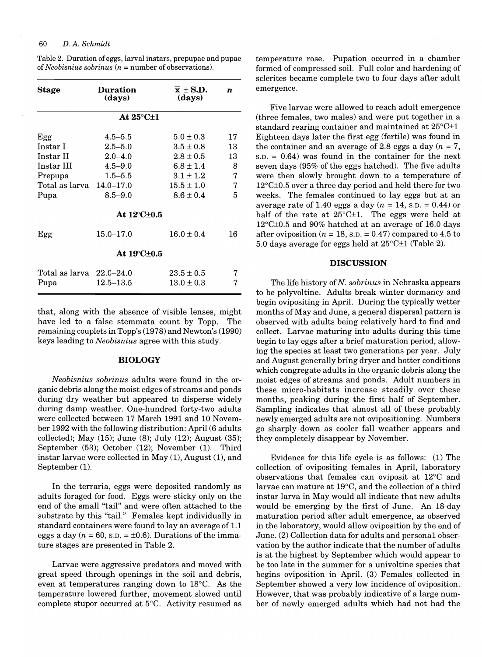### 60 *D.* A. *Schmidt*

| Stage                                        | <b>Duration</b><br>(days)  | $\bar{x}$ ± S.D.<br>(days)       | $\boldsymbol{n}$ |  |  |  |
|----------------------------------------------|----------------------------|----------------------------------|------------------|--|--|--|
| At $25^{\circ}$ C $\pm$ 1                    |                            |                                  |                  |  |  |  |
| Egg<br>Instar I                              | $4.5 - 5.5$<br>$2.5 - 5.0$ | $5.0 \pm 0.3$<br>$3.5 \pm 0.8$   | 17<br>13         |  |  |  |
| Instar II<br>Instar III                      | $2.0 - 4.0$<br>$4.5 - 9.0$ | $2.8\pm0.5$<br>$6.8 \pm 1.4$     | 13<br>8          |  |  |  |
| Prepupa<br>Total as larva $14.0-17.0$        | $1.5 - 5.5$                | $3.1 \pm 1.2$<br>$15.5 \pm 1.0$  | 7<br>7           |  |  |  |
| Pupa                                         | $8.5 - 9.0$                | $8.6 \pm 0.4$                    | 5                |  |  |  |
| At $12^{\circ}$ C $\pm$ 0.5                  |                            |                                  |                  |  |  |  |
| Egg                                          | $15.0 - 17.0$              | $16.0 \pm 0.4$                   | 16               |  |  |  |
| At 19 C ± 0.5                                |                            |                                  |                  |  |  |  |
| $Total$ as larva $\,$ 22.0–24.0 $\,$<br>Pupa | $12.5 - 13.5$              | $23.5 \pm 0.5$<br>$13.0 \pm 0.3$ | 7<br>7           |  |  |  |

Table 2. Duration of eggs, larval instars, prepupae and pupae of *Neobisnius sobrinus (n* = number of observations).

that, along with the absence of visible lenses, might have led to a false stemmata count by Topp. The remaining couplets in Topp's (1978) and Newton's (1990) keys leading to *Neobisnius* agree with this study.

### BIOLOGY

*Neobisnius sobrinus* adults were found in the organic debris along the moist edges of streams and ponds during dry weather but appeared to disperse widely during damp weather. One-hundred forty-two adults were collected between 17 March 1991 and 10 November 1992 with the following distribution: April (6 adults collected); May (15); June (8); July (12); August (35); September (53); October (12); November (1). Third instar larvae were collected in May (1), August (1), and September (1).

In the terraria, eggs were deposited randomly as adults foraged for food. Eggs were sticky only on the end of the small "tail" and were often attached to the substrate by this "tail." Females kept individually in standard containers were found to lay an average of 1.1 eggs a day ( $n = 60$ , s.p. =  $\pm 0.6$ ). Durations of the immature stages are presented in Table 2.

Larvae were aggressive predators and moved with great speed through openings in the soil and debris, even at temperatures ranging down to 18°C. As the temperature lowered further, movement slowed until complete stupor occurred at 5°C. Activity resumed as

temperature rose. Pupation occurred in a chamber formed of compressed soil. Full color and hardening of sclerites became complete two to four days after adult emergence.

Five larvae were allowed to reach adult emergence (three females, two males) and were put together in a standard rearing container and maintained at 25°C±1. Eighteen days later the first egg (fertile) was found in the container and an average of 2.8 eggs a day  $(n = 7)$ ,  $S.D. = 0.64$  was found in the container for the next seven days (95% of the eggs hatched). The five adults were then slowly brought down to a temperature of 12°C±0.5 over a three day period and held there for two weeks. The females continued to lay eggs but at an average rate of 1.40 eggs a day  $(n = 14, s.D. = 0.44)$  or half of the rate at  $25^{\circ}$ C $\pm$ 1. The eggs were held at 12°C±0.5 and 90% hatched at an average of 16.0 days after oviposition ( $n = 18$ , s.p. = 0.47) compared to 4.5 to 5.0 days average for eggs held at 25°C±1 (Table 2).

#### DISCUSSION

The life history of N. *sobrinus* in Nebraska appears to be polyvoltine. Adults break winter dormancy and begin ovipositing in April. During the typically wetter months of May and June, a general dispersal pattern is observed with adults being relatively hard to find and collect. Larvae maturing into adults during this time begin to lay eggs after a brief maturation period, allowing the species at least two generations per year. July and August generally bring dryer and hotter conditions which congregate adults in the organic debris along the moist edges of streams and ponds. Adult numbers in these micro-habitats increase steadily over these months, peaking during the first half of September. Sampling indicates that almost all of these probably newly emerged adults are not ovipositioning. Numbers go sharply down as cooler fall weather appears and they completely disappear by November.

Evidence for this life cycle is as follows: (1) The collection of ovipositing females in April, laboratory observations that females can oviposit at 12°C and larvae can mature at 19°C, and the collection of a third instar larva in May would all indicate that new adults would be emerging by the first of June. An 18-day maturation period after adult emergence, as observed in the laboratory, would allow oviposition by the end of June. (2) Collection data for adults and personal observation by the author indicate that the number of adults is at the highest by September which would appear to be too late in the summer for a univoltine species that begins oviposition in April. (3) Females collected in September showed a very low incidence of oviposition. However, that was probably indicative of a large number of newly emerged adults which had not had the